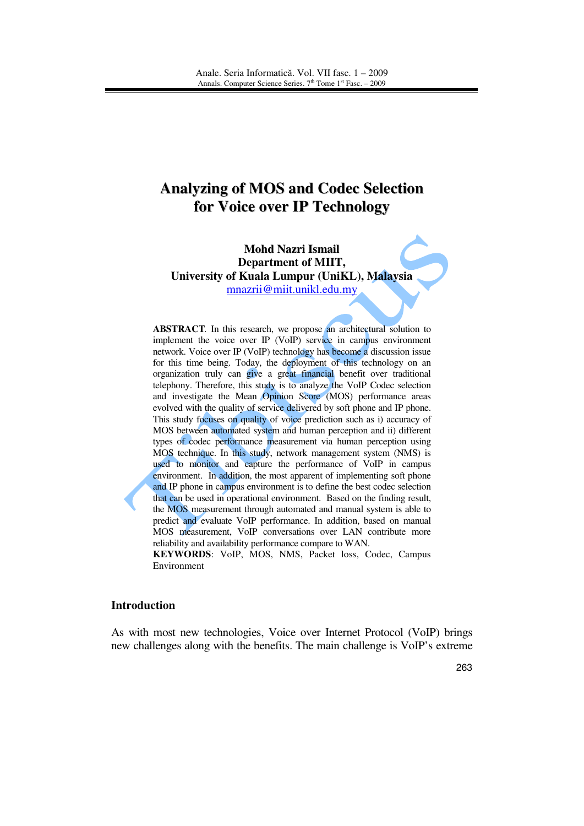# **Analyzing of MOS and Codec Selection for Voice over IP Technology**

**Mohd Nazri Ismail Department of MIIT, University of Kuala Lumpur (UniKL), Malaysia**  mnazrii@miit.unikl.edu.my

**ABSTRACT***.* In this research, we propose an architectural solution to implement the voice over IP (VoIP) service in campus environment network. Voice over IP (VoIP) technology has become a discussion issue for this time being. Today, the deployment of this technology on an organization truly can give a great financial benefit over traditional telephony. Therefore, this study is to analyze the VoIP Codec selection and investigate the Mean Opinion Score (MOS) performance areas evolved with the quality of service delivered by soft phone and IP phone. This study focuses on quality of voice prediction such as i) accuracy of MOS between automated system and human perception and ii) different types of codec performance measurement via human perception using MOS technique. In this study, network management system (NMS) is used to monitor and capture the performance of VoIP in campus environment. In addition, the most apparent of implementing soft phone and IP phone in campus environment is to define the best codec selection that can be used in operational environment. Based on the finding result, the MOS measurement through automated and manual system is able to predict and evaluate VoIP performance. In addition, based on manual MOS measurement, VoIP conversations over LAN contribute more reliability and availability performance compare to WAN.

**KEYWORDS**: VoIP, MOS, NMS, Packet loss, Codec, Campus Environment

#### **Introduction**

As with most new technologies, Voice over Internet Protocol (VoIP) brings new challenges along with the benefits. The main challenge is VoIP's extreme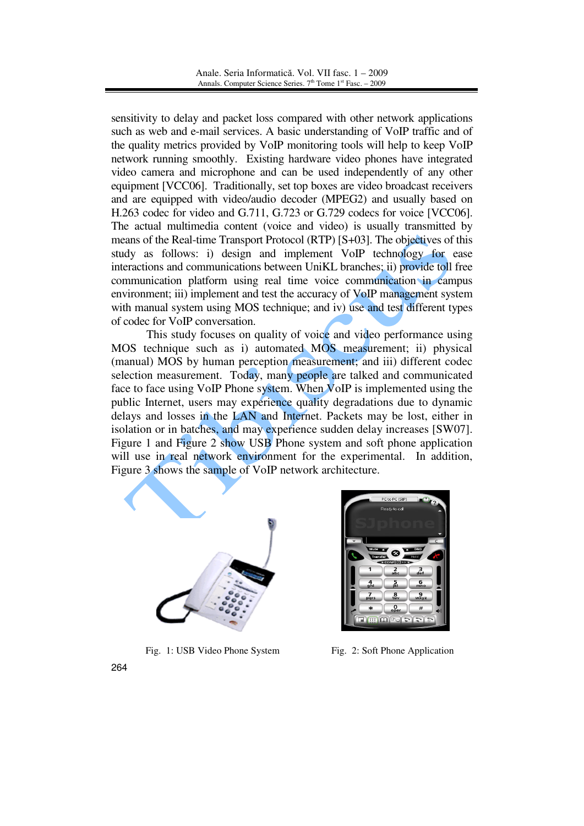sensitivity to delay and packet loss compared with other network applications such as web and e-mail services. A basic understanding of VoIP traffic and of the quality metrics provided by VoIP monitoring tools will help to keep VoIP network running smoothly. Existing hardware video phones have integrated video camera and microphone and can be used independently of any other equipment [VCC06]. Traditionally, set top boxes are video broadcast receivers and are equipped with video/audio decoder (MPEG2) and usually based on H.263 codec for video and G.711, G.723 or G.729 codecs for voice [VCC06]. The actual multimedia content (voice and video) is usually transmitted by means of the Real-time Transport Protocol (RTP) [S+03]. The objectives of this study as follows: i) design and implement VoIP technology for ease interactions and communications between UniKL branches; ii) provide toll free communication platform using real time voice communication in campus environment; iii) implement and test the accuracy of VoIP management system with manual system using MOS technique; and iv) use and test different types of codec for VoIP conversation.

This study focuses on quality of voice and video performance using MOS technique such as i) automated MOS measurement; ii) physical (manual) MOS by human perception measurement; and iii) different codec selection measurement. Today, many people are talked and communicated face to face using VoIP Phone system. When VoIP is implemented using the public Internet, users may experience quality degradations due to dynamic delays and losses in the LAN and Internet. Packets may be lost, either in isolation or in batches, and may experience sudden delay increases [SW07]. Figure 1 and Figure 2 show USB Phone system and soft phone application will use in real network environment for the experimental. In addition, Figure 3 shows the sample of VoIP network architecture.





Fig. 1: USB Video Phone System Fig. 2: Soft Phone Application

264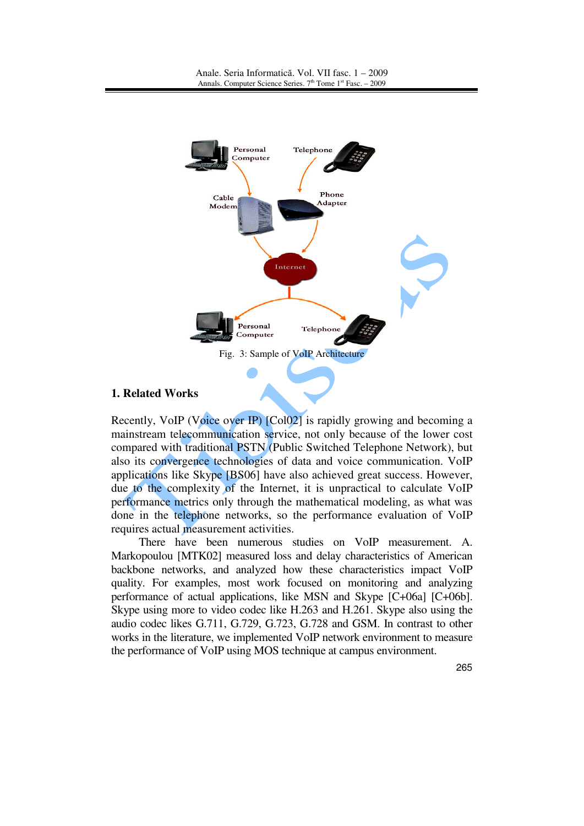

## **1. Related Works**

Recently, VoIP (Voice over IP) [Col02] is rapidly growing and becoming a mainstream telecommunication service, not only because of the lower cost compared with traditional PSTN (Public Switched Telephone Network), but also its convergence technologies of data and voice communication. VoIP applications like Skype [BS06] have also achieved great success. However, due to the complexity of the Internet, it is unpractical to calculate VoIP performance metrics only through the mathematical modeling, as what was done in the telephone networks, so the performance evaluation of VoIP requires actual measurement activities.

There have been numerous studies on VoIP measurement. A. Markopoulou [MTK02] measured loss and delay characteristics of American backbone networks, and analyzed how these characteristics impact VoIP quality. For examples, most work focused on monitoring and analyzing performance of actual applications, like MSN and Skype [C+06a] [C+06b]. Skype using more to video codec like H.263 and H.261. Skype also using the audio codec likes G.711, G.729, G.723, G.728 and GSM. In contrast to other works in the literature, we implemented VoIP network environment to measure the performance of VoIP using MOS technique at campus environment.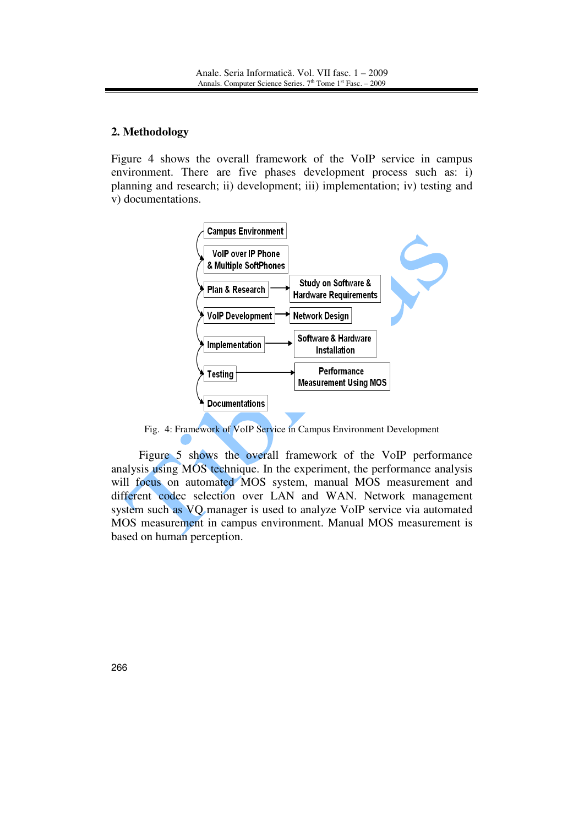# **2. Methodology**

Figure 4 shows the overall framework of the VoIP service in campus environment. There are five phases development process such as: i) planning and research; ii) development; iii) implementation; iv) testing and v) documentations.



Fig. 4: Framework of VoIP Service in Campus Environment Development

Figure 5 shows the overall framework of the VoIP performance analysis using MOS technique. In the experiment, the performance analysis will focus on automated MOS system, manual MOS measurement and different codec selection over LAN and WAN. Network management system such as VQ manager is used to analyze VoIP service via automated MOS measurement in campus environment. Manual MOS measurement is based on human perception.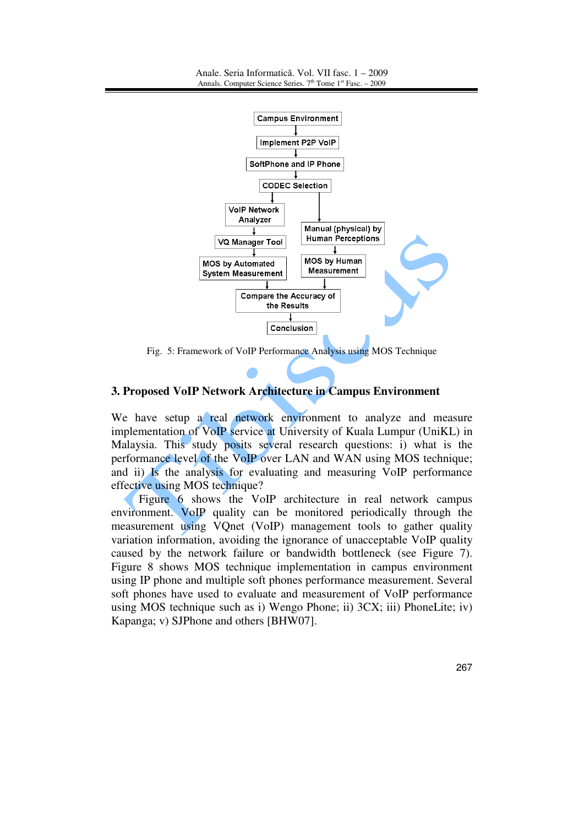

Fig. 5: Framework of VoIP Performance Analysis using MOS Technique

## **3. Proposed VoIP Network Architecture in Campus Environment**

We have setup a real network environment to analyze and measure implementation of VoIP service at University of Kuala Lumpur (UniKL) in Malaysia. This study posits several research questions: i) what is the performance level of the VoIP over LAN and WAN using MOS technique; and ii) Is the analysis for evaluating and measuring VoIP performance effective using MOS technique?

Figure 6 shows the VoIP architecture in real network campus environment. VoIP quality can be monitored periodically through the measurement using VQnet (VoIP) management tools to gather quality variation information, avoiding the ignorance of unacceptable VoIP quality caused by the network failure or bandwidth bottleneck (see Figure 7). Figure 8 shows MOS technique implementation in campus environment using IP phone and multiple soft phones performance measurement. Several soft phones have used to evaluate and measurement of VoIP performance using MOS technique such as i) Wengo Phone; ii) 3CX; iii) PhoneLite; iv) Kapanga; v) SJPhone and others [BHW07].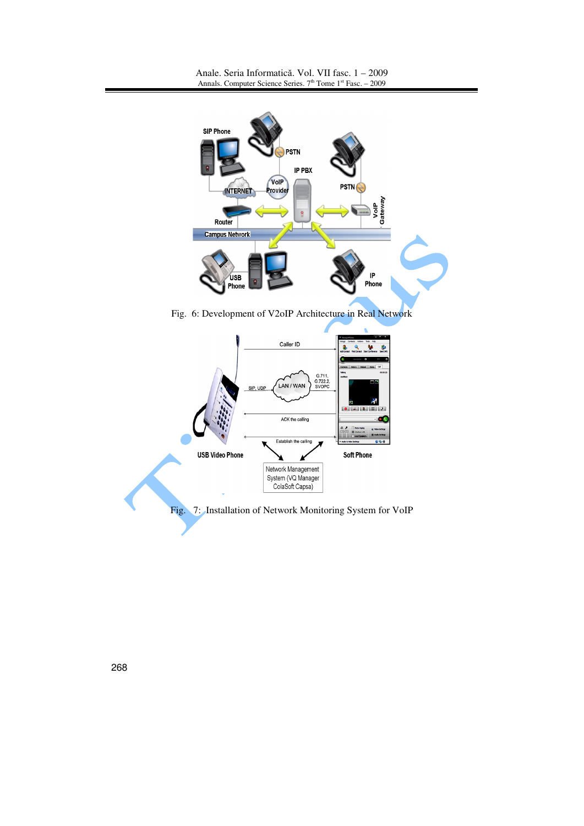

Fig. 6: Development of V2oIP Architecture in Real Network

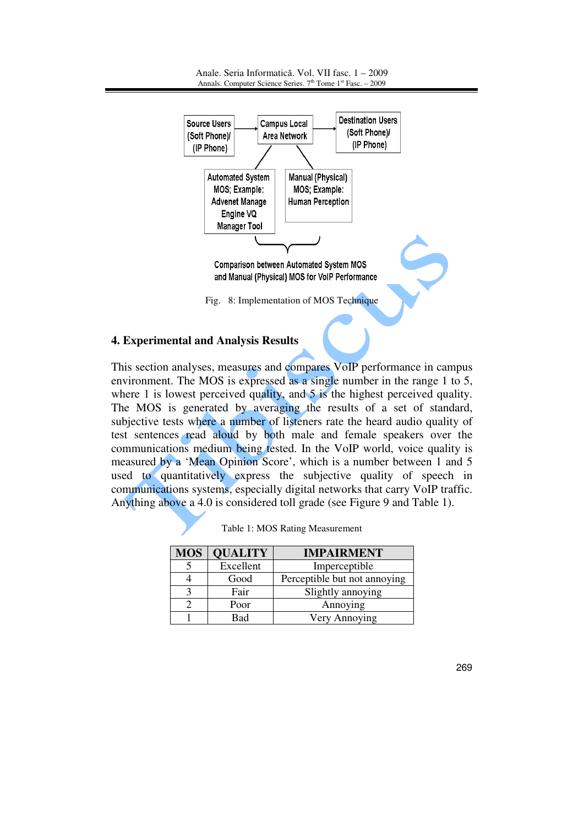

# **4. Experimental and Analysis Results**

This section analyses, measures and compares VoIP performance in campus environment. The MOS is expressed as a single number in the range 1 to 5, where 1 is lowest perceived quality, and 5 is the highest perceived quality. The MOS is generated by averaging the results of a set of standard, subjective tests where a number of listeners rate the heard audio quality of test sentences read aloud by both male and female speakers over the communications medium being tested. In the VoIP world, voice quality is measured by a 'Mean Opinion Score', which is a number between 1 and 5 used to quantitatively express the subjective quality of speech in communications systems, especially digital networks that carry VoIP traffic. Anything above a 4.0 is considered toll grade (see Figure 9 and Table 1).

| <b>MOS</b> | <b>QUALITY</b> | <b>IMPAIRMENT</b>            |  |
|------------|----------------|------------------------------|--|
|            | Excellent      | Imperceptible                |  |
|            | Good           | Perceptible but not annoying |  |
|            | Fair           | Slightly annoying            |  |
|            | Poor           | Annoying                     |  |
|            | Bad            | Very Annoying                |  |

|  |  |  |  | Table 1: MOS Rating Measurement |
|--|--|--|--|---------------------------------|
|--|--|--|--|---------------------------------|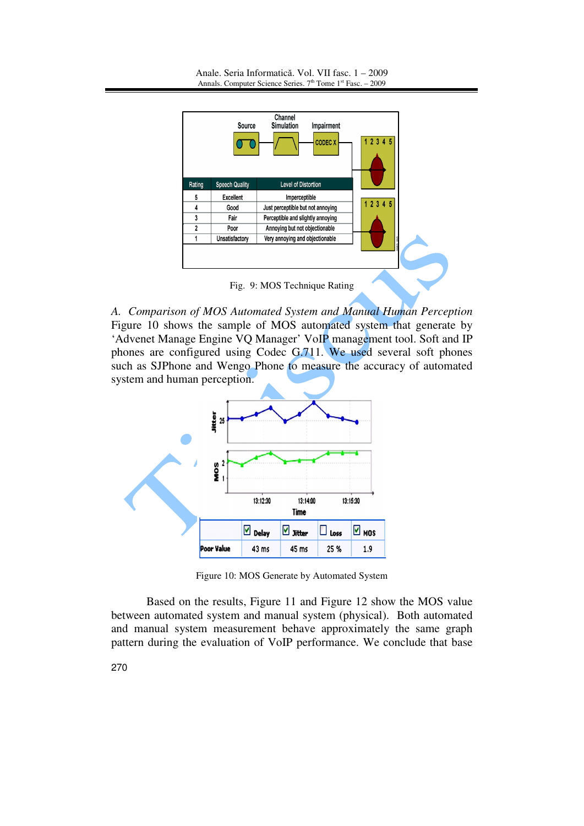

Fig. 9: MOS Technique Rating

*A. Comparison of MOS Automated System and Manual Human Perception* Figure 10 shows the sample of MOS automated system that generate by 'Advenet Manage Engine VQ Manager' VoIP management tool. Soft and IP phones are configured using Codec G.711. We used several soft phones such as SJPhone and Wengo Phone to measure the accuracy of automated system and human perception.



Figure 10: MOS Generate by Automated System

Based on the results, Figure 11 and Figure 12 show the MOS value between automated system and manual system (physical). Both automated and manual system measurement behave approximately the same graph pattern during the evaluation of VoIP performance. We conclude that base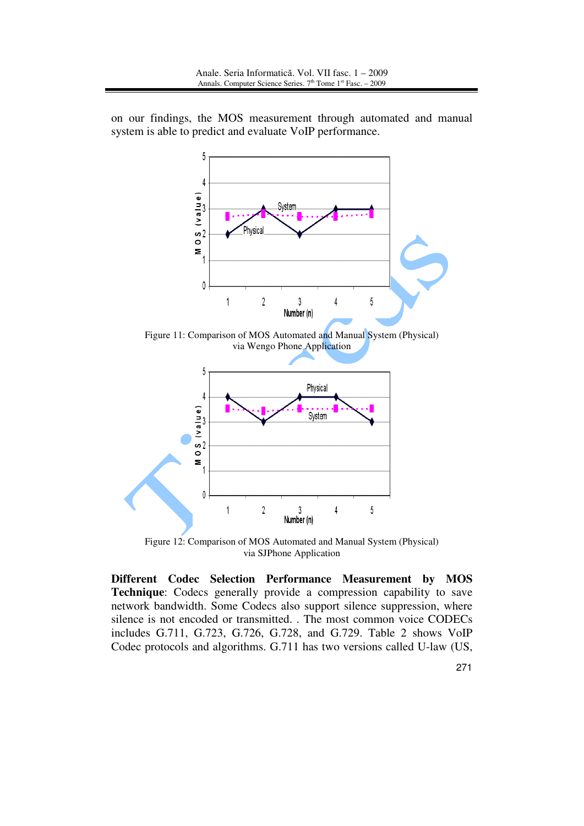on our findings, the MOS measurement through automated and manual system is able to predict and evaluate VoIP performance.







Figure 12: Comparison of MOS Automated and Manual System (Physical) via SJPhone Application

**Different Codec Selection Performance Measurement by MOS Technique**: Codecs generally provide a compression capability to save network bandwidth. Some Codecs also support silence suppression, where silence is not encoded or transmitted. . The most common voice CODECs includes G.711, G.723, G.726, G.728, and G.729. Table 2 shows VoIP Codec protocols and algorithms. G.711 has two versions called U-law (US,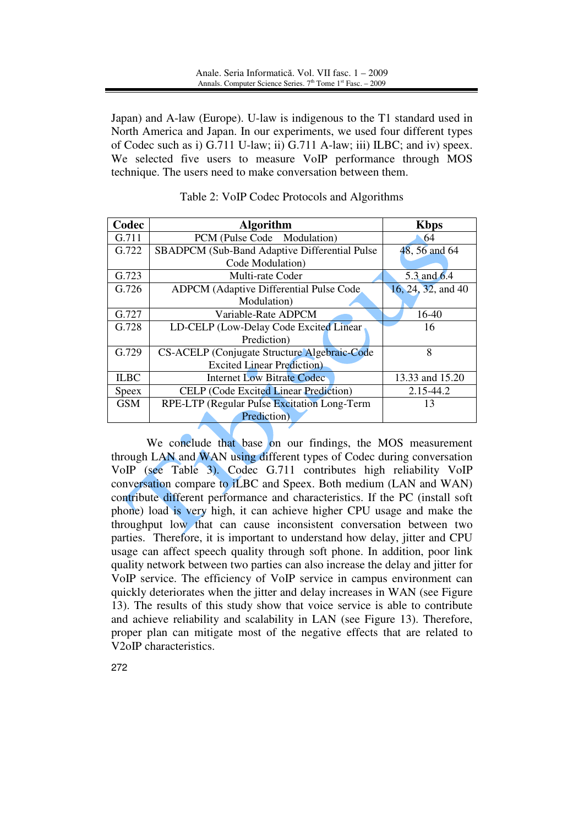Japan) and A-law (Europe). U-law is indigenous to the T1 standard used in North America and Japan. In our experiments, we used four different types of Codec such as i) G.711 U-law; ii) G.711 A-law; iii) ILBC; and iv) speex. We selected five users to measure VoIP performance through MOS technique. The users need to make conversation between them.

| Codec        | <b>Algorithm</b>                              | <b>Kbps</b>        |
|--------------|-----------------------------------------------|--------------------|
| G.711        | PCM (Pulse Code Modulation)                   | 64                 |
| G.722        | SBADPCM (Sub-Band Adaptive Differential Pulse | 48, 56 and 64      |
|              | Code Modulation)                              |                    |
| G.723        | Multi-rate Coder                              | 5.3 and 6.4        |
| G.726        | ADPCM (Adaptive Differential Pulse Code)      | 16, 24, 32, and 40 |
|              | Modulation)                                   |                    |
| G.727        | Variable-Rate ADPCM                           | 16-40              |
| G.728        | LD-CELP (Low-Delay Code Excited Linear        | 16                 |
|              | Prediction)                                   |                    |
| G.729        | CS-ACELP (Conjugate Structure Algebraic-Code  | 8                  |
|              | <b>Excited Linear Prediction</b> )            |                    |
| <b>ILBC</b>  | <b>Internet Low Bitrate Codec</b>             | 13.33 and 15.20    |
| <b>Speex</b> | <b>CELP</b> (Code Excited Linear Prediction)  | 2.15-44.2          |
| <b>GSM</b>   | RPE-LTP (Regular Pulse Excitation Long-Term   | 13                 |
|              | Prediction)                                   |                    |

| Table 2: VoIP Codec Protocols and Algorithms |  |
|----------------------------------------------|--|
|----------------------------------------------|--|

We conclude that base on our findings, the MOS measurement through LAN and WAN using different types of Codec during conversation VoIP (see Table 3). Codec G.711 contributes high reliability VoIP conversation compare to iLBC and Speex. Both medium (LAN and WAN) contribute different performance and characteristics. If the PC (install soft phone) load is very high, it can achieve higher CPU usage and make the throughput low that can cause inconsistent conversation between two parties. Therefore, it is important to understand how delay, jitter and CPU usage can affect speech quality through soft phone. In addition, poor link quality network between two parties can also increase the delay and jitter for VoIP service. The efficiency of VoIP service in campus environment can quickly deteriorates when the jitter and delay increases in WAN (see Figure 13). The results of this study show that voice service is able to contribute and achieve reliability and scalability in LAN (see Figure 13). Therefore, proper plan can mitigate most of the negative effects that are related to V2oIP characteristics.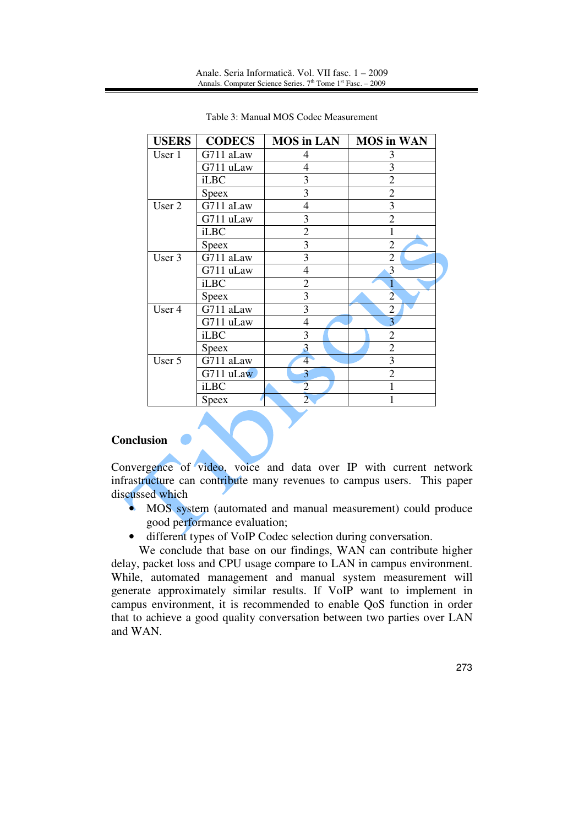| <b>USERS</b> | <b>CODECS</b> | <b>MOS</b> in LAN | <b>MOS</b> in WAN |
|--------------|---------------|-------------------|-------------------|
| User 1       | G711 aLaw     | 4                 | 3                 |
|              | G711 uLaw     | 4                 | 3                 |
|              | iLBC          | 3                 | $\overline{2}$    |
|              | <b>Speex</b>  | 3                 | $\overline{2}$    |
| User 2       | G711 aLaw     | 4                 | 3                 |
|              | G711 uLaw     | 3                 | $\overline{2}$    |
|              | iLBC          | $\overline{2}$    |                   |
|              | <b>Speex</b>  | 3                 | $\overline{2}$    |
| User 3       | G711 aLaw     | $\overline{3}$    | 2                 |
|              | G711 uLaw     | $\overline{4}$    | 3                 |
|              | <b>iLBC</b>   | $\overline{2}$    |                   |
|              | <b>Speex</b>  | 3                 | $\overline{2}$    |
| User 4       | G711 aLaw     | $\overline{3}$    | $\overline{2}$    |
|              | G711 uLaw     | 4                 | 3                 |
|              | <b>iLBC</b>   | 3                 | 2                 |
|              | <b>Speex</b>  | 3                 | 2                 |
| User 5       | G711 aLaw     | $\overline{4}$    | 3                 |
|              | G711 uLaw     | 3                 | $\overline{2}$    |
|              | <b>iLBC</b>   | $\overline{2}$    |                   |
|              | Speex         | $\overline{2}$    |                   |

Table 3: Manual MOS Codec Measurement

## **Conclusion**

Convergence of video, voice and data over IP with current network infrastructure can contribute many revenues to campus users. This paper discussed which

- MOS system (automated and manual measurement) could produce good performance evaluation;
- different types of VoIP Codec selection during conversation.

We conclude that base on our findings, WAN can contribute higher delay, packet loss and CPU usage compare to LAN in campus environment. While, automated management and manual system measurement will generate approximately similar results. If VoIP want to implement in campus environment, it is recommended to enable QoS function in order that to achieve a good quality conversation between two parties over LAN and WAN.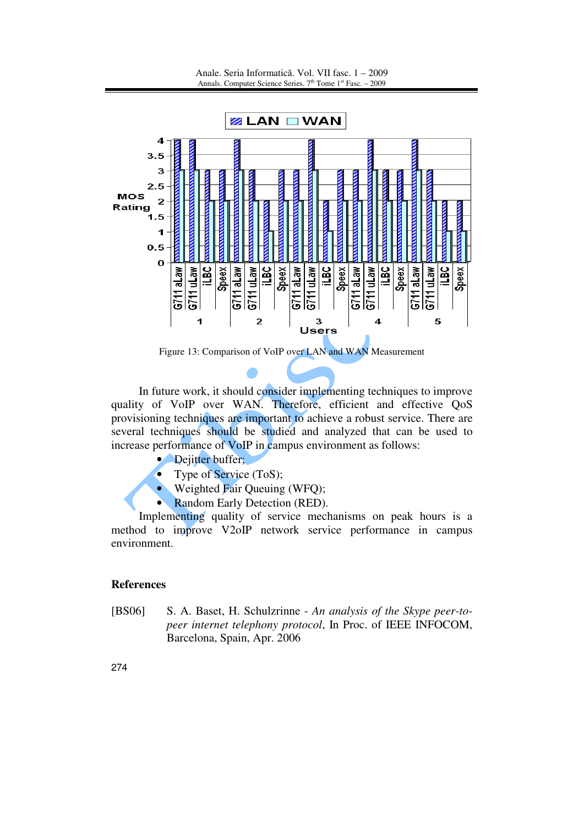

Figure 13: Comparison of VoIP over LAN and WAN Measurement

In future work, it should consider implementing techniques to improve quality of VoIP over WAN. Therefore, efficient and effective QoS provisioning techniques are important to achieve a robust service. There are several techniques should be studied and analyzed that can be used to increase performance of VoIP in campus environment as follows:

- Dejitter buffer;
	- Type of Service (ToS);
- Weighted Fair Queuing (WFQ);
- Random Early Detection (RED).

Implementing quality of service mechanisms on peak hours is a method to improve V2oIP network service performance in campus environment.

## **References**

[BS06] S. A. Baset, H. Schulzrinne - *An analysis of the Skype peer-topeer internet telephony protocol*, In Proc. of IEEE INFOCOM, Barcelona, Spain, Apr. 2006

274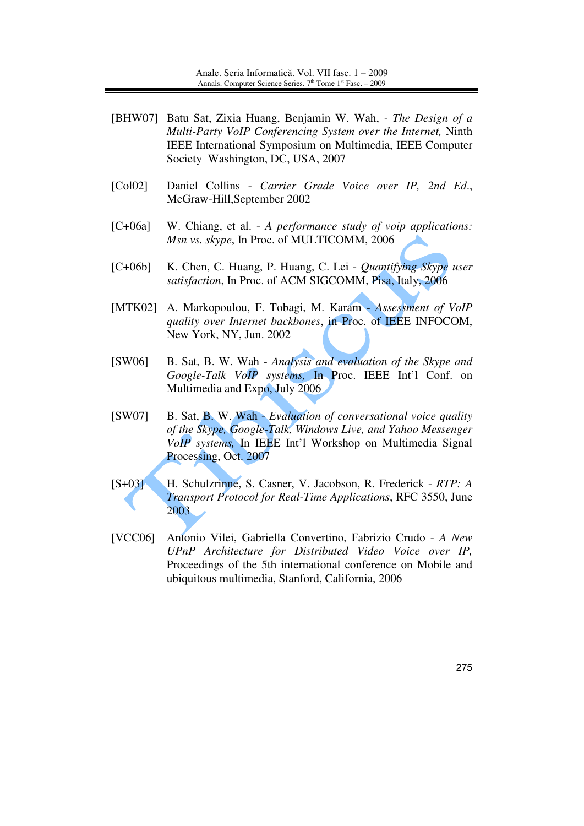- [BHW07] Batu Sat, Zixia Huang, Benjamin W. Wah, *The Design of a Multi-Party VoIP Conferencing System over the Internet,* Ninth IEEE International Symposium on Multimedia, IEEE Computer Society Washington, DC, USA, 2007
- [Col02] Daniel Collins *Carrier Grade Voice over IP, 2nd Ed*., McGraw-Hill,September 2002
- [C+06a] W. Chiang, et al. *A performance study of voip applications: Msn vs. skype*, In Proc. of MULTICOMM, 2006
- [C+06b] K. Chen, C. Huang, P. Huang, C. Lei *Quantifying Skype user satisfaction*, In Proc. of ACM SIGCOMM, Pisa, Italy, 2006
- [MTK02] A. Markopoulou, F. Tobagi, M. Karam *Assessment of VoIP quality over Internet backbones*, in Proc. of IEEE INFOCOM, New York, NY, Jun. 2002
- [SW06] B. Sat, B. W. Wah *Analysis and evaluation of the Skype and Google-Talk VoIP systems,* In Proc. IEEE Int'l Conf. on Multimedia and Expo, July 2006
- [SW07] B. Sat, B. W. Wah *Evaluation of conversational voice quality of the Skype, Google-Talk, Windows Live, and Yahoo Messenger VoIP systems,* In IEEE Int'l Workshop on Multimedia Signal Processing, Oct. 2007
- [S+03] H. Schulzrinne, S. Casner, V. Jacobson, R. Frederick *RTP: A Transport Protocol for Real-Time Applications*, RFC 3550, June 2003
- [VCC06] Antonio Vilei, Gabriella Convertino, Fabrizio Crudo *A New UPnP Architecture for Distributed Video Voice over IP,*  Proceedings of the 5th international conference on Mobile and ubiquitous multimedia, Stanford, California, 2006